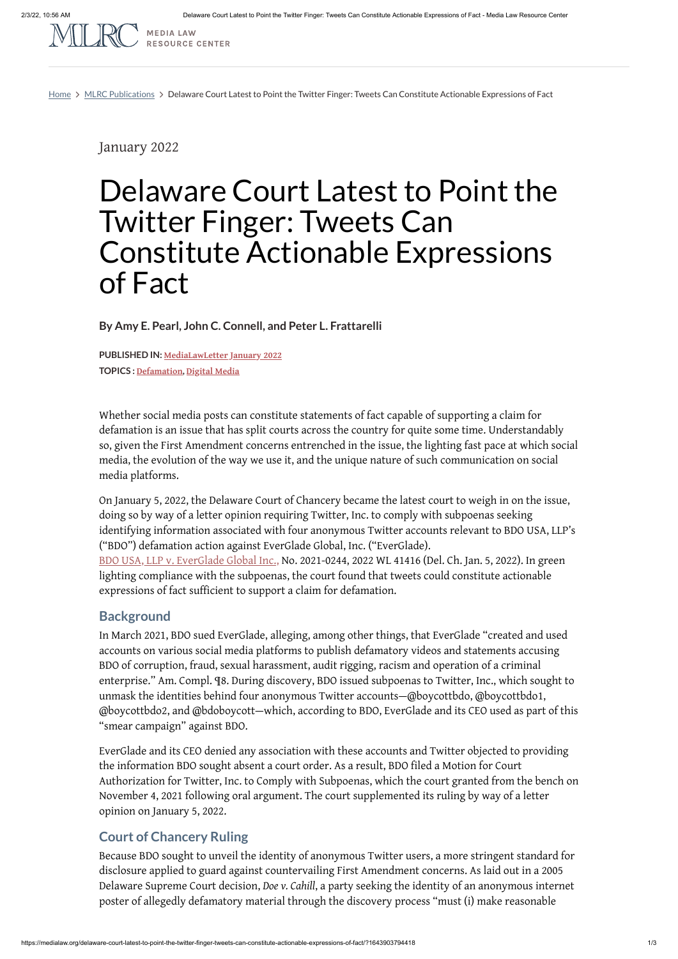**MEDIA LAW RESOURCE CENTER** 

[Home](https://medialaw.org/) > MLRC [Publications](https://live-medialaw.pantheonsite.io/mlrc-publications/) > Delaware Court Latest to Point the Twitter Finger: Tweets Can Constitute Actionable Expressions of Fact

January 2022

# Delaware Court Latest to Point the Twitter Finger: Tweets Can Constitute Actionable Expressions of Fact

**By Amy E. Pearl, John C. Connell, and Peter L. Frattarelli**

**PUBLISHED IN: [MediaLawLetter January 2022](https://medialaw.org/issue/medialawletter-january-2022/) TOPICS : [Defamation](https://medialaw.org/articles/topic/defamation/), [Digital Media](https://medialaw.org/articles/topic/digital-media/)**

Whether social media posts can constitute statements of fact capable of supporting a claim for defamation is an issue that has split courts across the country for quite some time. Understandably so, given the First Amendment concerns entrenched in the issue, the lighting fast pace at which social media, the evolution of the way we use it, and the unique nature of such communication on social media platforms.

On January 5, 2022, the Delaware Court of Chancery became the latest court to weigh in on the issue, doing so by way of a letter opinion requiring Twitter, Inc. to comply with subpoenas seeking identifying information associated with four anonymous Twitter accounts relevant to BDO USA, LLP's ("BDO") defamation action against EverGlade Global, Inc. ("EverGlade). [BDO USA, LLP v. EverGlade Global Inc.,](https://scholar.google.com/scholar_case?case=5681285652977037802&hl=en&as_sdt=6&as_vis=1&oi=scholarr) No. 2021-0244, 2022 WL 41416 (Del. Ch. Jan. 5, 2022). In green lighting compliance with the subpoenas, the court found that tweets could constitute actionable expressions of fact sufficient to support a claim for defamation.

## **Background**

In March 2021, BDO sued EverGlade, alleging, among other things, that EverGlade "created and used accounts on various social media platforms to publish defamatory videos and statements accusing BDO of corruption, fraud, sexual harassment, audit rigging, racism and operation of a criminal enterprise." Am. Compl. ¶8. During discovery, BDO issued subpoenas to Twitter, Inc., which sought to unmask the identities behind four anonymous Twitter accounts—@boycottbdo, @boycottbdo1, @boycottbdo2, and @bdoboycott—which, according to BDO, EverGlade and its CEO used as part of this

#### "smear campaign" against BDO.

EverGlade and its CEO denied any association with these accounts and Twitter objected to providing the information BDO sought absent a court order. As a result, BDO filed a Motion for Court Authorization for Twitter, Inc. to Comply with Subpoenas, which the court granted from the bench on November 4, 2021 following oral argument. The court supplemented its ruling by way of a letter opinion on January 5, 2022.

### **Court of Chancery Ruling**

Because BDO sought to unveil the identity of anonymous Twitter users, a more stringent standard for disclosure applied to guard against countervailing First Amendment concerns. As laid out in a 2005 Delaware Supreme Court decision, *Doe v. Cahill*, a party seeking the identity of an anonymous internet poster of allegedly defamatory material through the discovery process "must (i) make reasonable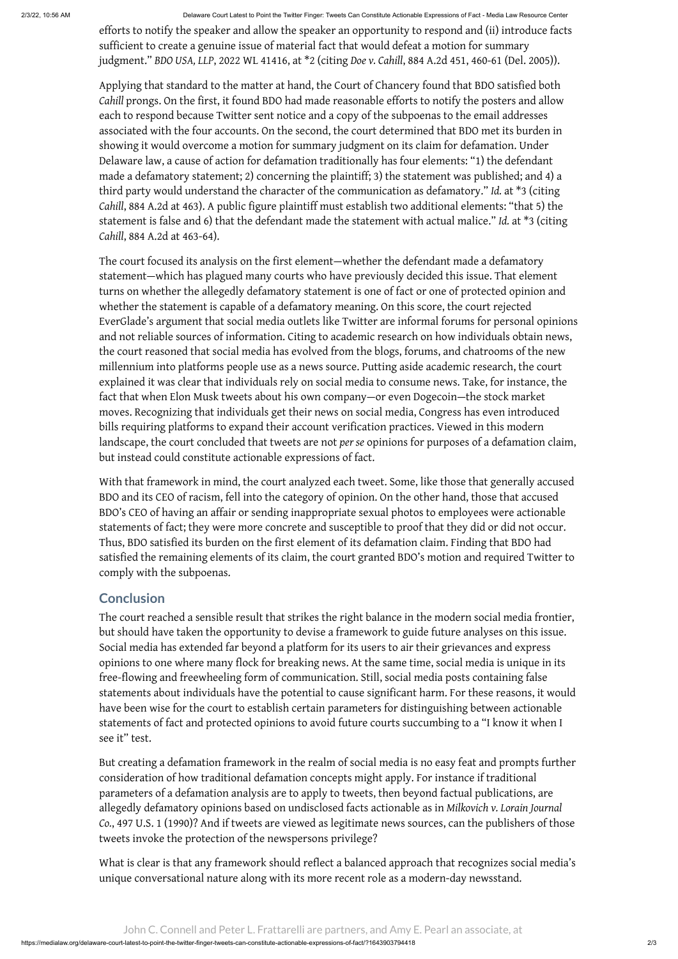2/3/22, 10:56 AM Delaware Court Latest to Point the Twitter Finger: Tweets Can Constitute Actionable Expressions of Fact - Media Law Resource Center

https://medialaw.org/delaware-court-latest-to-point-the-twitter-finger-tweets-can-constitute-actionable-expressions-of-fact/?1643903794418 2/3

efforts to notify the speaker and allow the speaker an opportunity to respond and (ii) introduce facts sufficient to create a genuine issue of material fact that would defeat a motion for summary judgment." *BDO USA, LLP*, 2022 WL 41416, at \*2 (citing *Doe v. Cahill*, 884 A.2d 451, 460-61 (Del. 2005)).

Applying that standard to the matter at hand, the Court of Chancery found that BDO satisfied both *Cahill* prongs. On the first, it found BDO had made reasonable efforts to notify the posters and allow each to respond because Twitter sent notice and a copy of the subpoenas to the email addresses associated with the four accounts. On the second, the court determined that BDO met its burden in showing it would overcome a motion for summary judgment on its claim for defamation. Under Delaware law, a cause of action for defamation traditionally has four elements: "1) the defendant made a defamatory statement; 2) concerning the plaintiff; 3) the statement was published; and 4) a third party would understand the character of the communication as defamatory." *Id.* at \*3 (citing *Cahill*, 884 A.2d at 463). A public figure plaintiff must establish two additional elements: "that 5) the statement is false and 6) that the defendant made the statement with actual malice." *Id.* at \*3 (citing *Cahill*, 884 A.2d at 463-64).

The court focused its analysis on the first element—whether the defendant made a defamatory statement—which has plagued many courts who have previously decided this issue. That element turns on whether the allegedly defamatory statement is one of fact or one of protected opinion and whether the statement is capable of a defamatory meaning. On this score, the court rejected EverGlade's argument that social media outlets like Twitter are informal forums for personal opinions and not reliable sources of information. Citing to academic research on how individuals obtain news, the court reasoned that social media has evolved from the blogs, forums, and chatrooms of the new millennium into platforms people use as a news source. Putting aside academic research, the court explained it was clear that individuals rely on social media to consume news. Take, for instance, the fact that when Elon Musk tweets about his own company—or even Dogecoin—the stock market moves. Recognizing that individuals get their news on social media, Congress has even introduced bills requiring platforms to expand their account verification practices. Viewed in this modern landscape, the court concluded that tweets are not *per se* opinions for purposes of a defamation claim, but instead could constitute actionable expressions of fact.

With that framework in mind, the court analyzed each tweet. Some, like those that generally accused BDO and its CEO of racism, fell into the category of opinion. On the other hand, those that accused BDO's CEO of having an affair or sending inappropriate sexual photos to employees were actionable statements of fact; they were more concrete and susceptible to proof that they did or did not occur. Thus, BDO satisfied its burden on the first element of its defamation claim. Finding that BDO had satisfied the remaining elements of its claim, the court granted BDO's motion and required Twitter to comply with the subpoenas.

## **Conclusion**

The court reached a sensible result that strikes the right balance in the modern social media frontier, but should have taken the opportunity to devise a framework to guide future analyses on this issue. Social media has extended far beyond a platform for its users to air their grievances and express opinions to one where many flock for breaking news. At the same time, social media is unique in its free-flowing and freewheeling form of communication. Still, social media posts containing false statements about individuals have the potential to cause significant harm. For these reasons, it would have been wise for the court to establish certain parameters for distinguishing between actionable statements of fact and protected opinions to avoid future courts succumbing to a "I know it when I

see it" test.

But creating a defamation framework in the realm of social media is no easy feat and prompts further consideration of how traditional defamation concepts might apply. For instance if traditional parameters of a defamation analysis are to apply to tweets, then beyond factual publications, are allegedly defamatory opinions based on undisclosed facts actionable as in *Milkovich v. Lorain Journal Co.*, 497 U.S. 1 (1990)? And if tweets are viewed as legitimate news sources, can the publishers of those tweets invoke the protection of the newspersons privilege?

What is clear is that any framework should reflect a balanced approach that recognizes social media's unique conversational nature along with its more recent role as a modern-day newsstand.

John C. Connell and Peter L. Frattarelli are partners, and Amy E. Pearl an associate, at